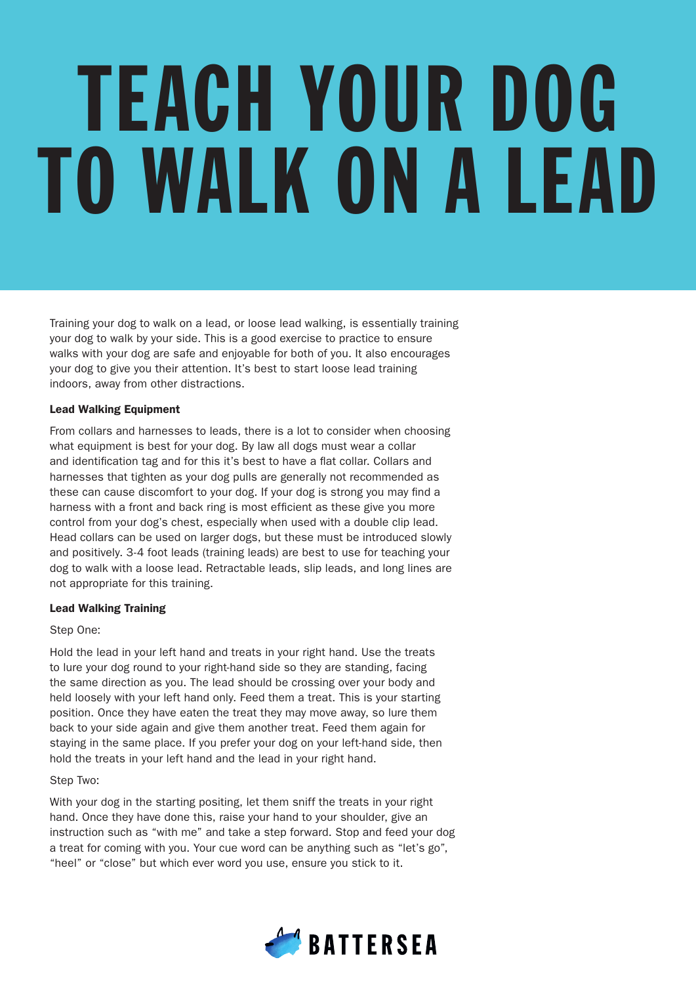# TEACH YOUR DOG TO WALK ON A LEAD

Training your dog to walk on a lead, or loose lead walking, is essentially training your dog to walk by your side. This is a good exercise to practice to ensure walks with your dog are safe and enjoyable for both of you. It also encourages your dog to give you their attention. It's best to start loose lead training indoors, away from other distractions.

## Lead Walking Equipment

From collars and harnesses to leads, there is a lot to consider when choosing what equipment is best for your dog. By law all dogs must wear a collar and identification tag and for this it's best to have a flat collar. Collars and harnesses that tighten as your dog pulls are generally not recommended as these can cause discomfort to your dog. If your dog is strong you may find a harness with a front and back ring is most efficient as these give you more control from your dog's chest, especially when used with a double clip lead. Head collars can be used on larger dogs, but these must be introduced slowly and positively. 3-4 foot leads (training leads) are best to use for teaching your dog to walk with a loose lead. Retractable leads, slip leads, and long lines are not appropriate for this training.

# Lead Walking Training

# Step One:

Hold the lead in your left hand and treats in your right hand. Use the treats to lure your dog round to your right-hand side so they are standing, facing the same direction as you. The lead should be crossing over your body and held loosely with your left hand only. Feed them a treat. This is your starting position. Once they have eaten the treat they may move away, so lure them back to your side again and give them another treat. Feed them again for staying in the same place. If you prefer your dog on your left-hand side, then hold the treats in your left hand and the lead in your right hand.

## Step Two:

With your dog in the starting positing, let them sniff the treats in your right hand. Once they have done this, raise your hand to your shoulder, give an instruction such as "with me" and take a step forward. Stop and feed your dog a treat for coming with you. Your cue word can be anything such as "let's go", "heel" or "close" but which ever word you use, ensure you stick to it.